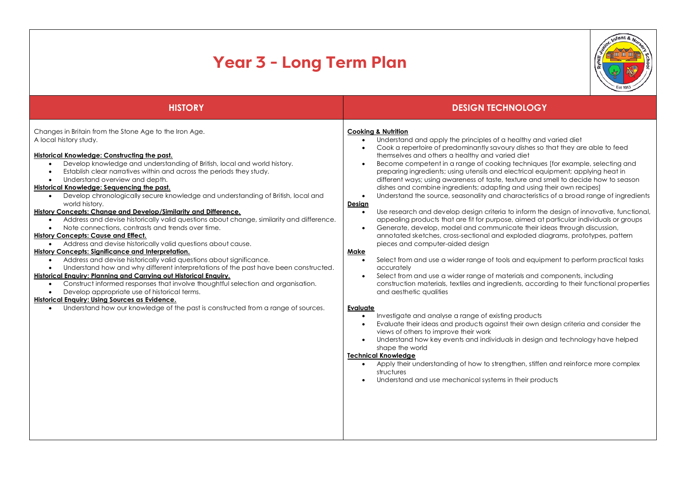## **Year 3 - Long Term Plan**



| <b>HISTORY</b>                                                                                                                                                                                                                                                                                                                                                                                                                                                                                                                                                                                                                                                                                                                                                                                                                                                                                                                                                                                                                                                                                                                                                                                                                                                                                                                                                                  | <b>DESIGN TECHNOLOGY</b>                                                                                                                                                                                                                                                                                                                                                                                                                                                                                                                                                                                                                                                                                                                                                                                                                                                                                                                                                                                                                                                                                                                                                                                                                                                                                                                                                                                                                                                                                                                                                                                                                                                                                                                                                                                                                                                                                                                                                                     |
|---------------------------------------------------------------------------------------------------------------------------------------------------------------------------------------------------------------------------------------------------------------------------------------------------------------------------------------------------------------------------------------------------------------------------------------------------------------------------------------------------------------------------------------------------------------------------------------------------------------------------------------------------------------------------------------------------------------------------------------------------------------------------------------------------------------------------------------------------------------------------------------------------------------------------------------------------------------------------------------------------------------------------------------------------------------------------------------------------------------------------------------------------------------------------------------------------------------------------------------------------------------------------------------------------------------------------------------------------------------------------------|----------------------------------------------------------------------------------------------------------------------------------------------------------------------------------------------------------------------------------------------------------------------------------------------------------------------------------------------------------------------------------------------------------------------------------------------------------------------------------------------------------------------------------------------------------------------------------------------------------------------------------------------------------------------------------------------------------------------------------------------------------------------------------------------------------------------------------------------------------------------------------------------------------------------------------------------------------------------------------------------------------------------------------------------------------------------------------------------------------------------------------------------------------------------------------------------------------------------------------------------------------------------------------------------------------------------------------------------------------------------------------------------------------------------------------------------------------------------------------------------------------------------------------------------------------------------------------------------------------------------------------------------------------------------------------------------------------------------------------------------------------------------------------------------------------------------------------------------------------------------------------------------------------------------------------------------------------------------------------------------|
| Changes in Britain from the Stone Age to the Iron Age.<br>A local history study.<br>Historical Knowledge: Constructing the past.<br>Develop knowledge and understanding of British, local and world history.<br>Establish clear narratives within and across the periods they study.<br>Understand overview and depth.<br>Historical Knowledge: Sequencing the past.<br>Develop chronologically secure knowledge and understanding of British, local and<br>world history.<br>History Concepts: Change and Develop/Similarity and Difference.<br>Address and devise historically valid questions about change, similarity and difference.<br>Note connections, contrasts and trends over time.<br><b>History Concepts: Cause and Effect.</b><br>Address and devise historically valid questions about cause.<br>History Concepts: Significance and Interpretation.<br>Address and devise historically valid questions about significance.<br>Understand how and why different interpretations of the past have been constructed.<br>Historical Enquiry: Planning and Carrying out Historical Enquiry.<br>Construct informed responses that involve thoughtful selection and organisation.<br>Develop appropriate use of historical terms.<br>Historical Enquiry: Using Sources as Evidence.<br>Understand how our knowledge of the past is constructed from a range of sources. | <b>Cooking &amp; Nutrition</b><br>Understand and apply the principles of a healthy and varied diet<br>$\bullet$<br>Cook a repertoire of predominantly savoury dishes so that they are able to feed<br>$\bullet$<br>themselves and others a healthy and varied diet<br>Become competent in a range of cooking techniques [for example, selecting and<br>preparing ingredients; using utensils and electrical equipment; applying heat in<br>different ways; using awareness of taste, texture and smell to decide how to season<br>dishes and combine ingredients; adapting and using their own recipes<br>Understand the source, seasonality and characteristics of a broad range of ingredients<br>$\bullet$<br>Design<br>Use research and develop design criteria to inform the design of innovative, functional,<br>$\bullet$<br>appealing products that are fit for purpose, aimed at particular individuals or groups<br>Generate, develop, model and communicate their ideas through discussion,<br>annotated sketches, cross-sectional and exploded diagrams, prototypes, pattern<br>pieces and computer-aided design<br>Make<br>Select from and use a wider range of tools and equipment to perform practical tasks<br>accurately<br>Select from and use a wider range of materials and components, including<br>construction materials, textiles and ingredients, according to their functional properties<br>and aesthetic qualities<br>Evaluate<br>Investigate and analyse a range of existing products<br>$\bullet$<br>Evaluate their ideas and products against their own design criteria and consider the<br>$\bullet$<br>views of others to improve their work<br>Understand how key events and individuals in design and technology have helped<br>shape the world<br><b>Technical Knowledge</b><br>Apply their understanding of how to strengthen, stiffen and reinforce more complex<br>$\bullet$<br>structures<br>Understand and use mechanical systems in their products |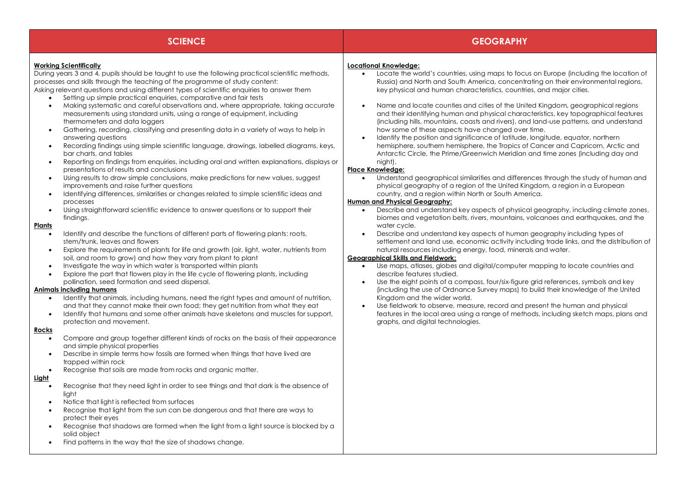| <b>SCIENCE</b>                                                                                                                                                                                                                                                                                                                                                                                                                                                                                                                                                                                                                                                                                                                                                                                                                                                                                                                                                                                                                                                                                                                                                                                                                                                                                                                                                                                                                                                                                                                                                                                                                                                                                                                                                                                                                                                                                                                                                                                                                                                                                                                                                                                                                                                                                                                                                                                                                                                                                                                                                                                                                                                                                                                                                                                                                                                                                                                                                                                                                                                                      | <b>GEOGRAPHY</b>                                                                                                                                                                                                                                                                                                                                                                                                                                                                                                                                                                                                                                                                                                                                                                                                                                                                                                                                                                                                                                                                                                                                                                                                                                                                                                                                                                                                                                                                                                                                                                                                                                                                                                                                                                                                                                                                                                                                                                                                                                                                                                                                                                                                       |
|-------------------------------------------------------------------------------------------------------------------------------------------------------------------------------------------------------------------------------------------------------------------------------------------------------------------------------------------------------------------------------------------------------------------------------------------------------------------------------------------------------------------------------------------------------------------------------------------------------------------------------------------------------------------------------------------------------------------------------------------------------------------------------------------------------------------------------------------------------------------------------------------------------------------------------------------------------------------------------------------------------------------------------------------------------------------------------------------------------------------------------------------------------------------------------------------------------------------------------------------------------------------------------------------------------------------------------------------------------------------------------------------------------------------------------------------------------------------------------------------------------------------------------------------------------------------------------------------------------------------------------------------------------------------------------------------------------------------------------------------------------------------------------------------------------------------------------------------------------------------------------------------------------------------------------------------------------------------------------------------------------------------------------------------------------------------------------------------------------------------------------------------------------------------------------------------------------------------------------------------------------------------------------------------------------------------------------------------------------------------------------------------------------------------------------------------------------------------------------------------------------------------------------------------------------------------------------------------------------------------------------------------------------------------------------------------------------------------------------------------------------------------------------------------------------------------------------------------------------------------------------------------------------------------------------------------------------------------------------------------------------------------------------------------------------------------------------------|------------------------------------------------------------------------------------------------------------------------------------------------------------------------------------------------------------------------------------------------------------------------------------------------------------------------------------------------------------------------------------------------------------------------------------------------------------------------------------------------------------------------------------------------------------------------------------------------------------------------------------------------------------------------------------------------------------------------------------------------------------------------------------------------------------------------------------------------------------------------------------------------------------------------------------------------------------------------------------------------------------------------------------------------------------------------------------------------------------------------------------------------------------------------------------------------------------------------------------------------------------------------------------------------------------------------------------------------------------------------------------------------------------------------------------------------------------------------------------------------------------------------------------------------------------------------------------------------------------------------------------------------------------------------------------------------------------------------------------------------------------------------------------------------------------------------------------------------------------------------------------------------------------------------------------------------------------------------------------------------------------------------------------------------------------------------------------------------------------------------------------------------------------------------------------------------------------------------|
| <b>Working Scientifically</b><br>During years 3 and 4, pupils should be taught to use the following practical scientific methods,<br>processes and skills through the teaching of the programme of study content:<br>Asking relevant questions and using different types of scientific enquiries to answer them<br>Setting up simple practical enquiries, comparative and fair tests<br>Making systematic and careful observations and, where appropriate, taking accurate<br>$\bullet$<br>measurements using standard units, using a range of equipment, including<br>thermometers and data loggers<br>Gathering, recording, classifying and presenting data in a variety of ways to help in<br>$\bullet$<br>answering questions<br>Recording findings using simple scientific language, drawings, labelled diagrams, keys,<br>$\bullet$<br>bar charts, and tables<br>Reporting on findings from enquiries, including oral and written explanations, displays or<br>$\bullet$<br>presentations of results and conclusions<br>Using results to draw simple conclusions, make predictions for new values, suggest<br>$\bullet$<br>improvements and raise further questions<br>Identifying differences, similarities or changes related to simple scientific ideas and<br>$\bullet$<br>processes<br>Using straightforward scientific evidence to answer questions or to support their<br>$\bullet$<br>findings.<br><u>Plants</u><br>Identify and describe the functions of different parts of flowering plants: roots,<br>stem/trunk, leaves and flowers<br>Explore the requirements of plants for life and growth (air, light, water, nutrients from<br>$\bullet$<br>soil, and room to grow) and how they vary from plant to plant<br>Investigate the way in which water is transported within plants<br>$\bullet$<br>Explore the part that flowers play in the life cycle of flowering plants, including<br>pollination, seed formation and seed dispersal.<br><b>Animals including humans</b><br>Identify that animals, including humans, need the right types and amount of nutrition,<br>and that they cannot make their own food; they get nutrition from what they eat<br>Identify that humans and some other animals have skeletons and muscles for support,<br>$\bullet$<br>protection and movement.<br>Rocks<br>Compare and group together different kinds of rocks on the basis of their appearance<br>and simple physical properties<br>Describe in simple terms how fossils are formed when things that have lived are<br>$\bullet$<br>trapped within rock<br>Recognise that soils are made from rocks and organic matter.<br><u>Light</u><br>Recognise that they need light in order to see things and that dark is the absence of<br>light<br>Notice that light is reflected from surfaces<br>Recognise that light from the sun can be dangerous and that there are ways to<br>protect their eyes<br>Recognise that shadows are formed when the light from a light source is blocked by a<br>solid object<br>Find patterns in the way that the size of shadows change. | Locational Knowledge:<br>Locate the world's countries, using maps to focus on Europe (including the location of<br>Russia) and North and South America, concentrating on their environmental regions,<br>key physical and human characteristics, countries, and major cities.<br>Name and locate counties and cities of the United Kingdom, geographical regions<br>and their identifying human and physical characteristics, key topographical features<br>(including hills, mountains, coasts and rivers), and land-use patterns, and understand<br>how some of these aspects have changed over time.<br>Identify the position and significance of latitude, longitude, equator, northern<br>hemisphere, southern hemisphere, the Tropics of Cancer and Capricorn, Arctic and<br>Antarctic Circle, the Prime/Greenwich Meridian and time zones (including day and<br>night).<br><b>Place Knowledge:</b><br>Understand geographical similarities and differences through the study of human and<br>physical geography of a region of the United Kingdom, a region in a European<br>country, and a region within North or South America.<br>Human and Physical Geography:<br>Describe and understand key aspects of physical geography, including climate zones,<br>biomes and vegetation belts, rivers, mountains, volcanoes and earthquakes, and the<br>water cycle.<br>Describe and understand key aspects of human geography including types of<br>$\bullet$<br>settlement and land use, economic activity including trade links, and the distribution of<br>natural resources including energy, food, minerals and water.<br><b>Geographical Skills and Fieldwork:</b><br>Use maps, atlases, globes and digital/computer mapping to locate countries and<br>describe features studied.<br>Use the eight points of a compass, four/six-figure grid references, symbols and key<br>(including the use of Ordnance Survey maps) to build their knowledge of the United<br>Kingdom and the wider world.<br>Use fieldwork to observe, measure, record and present the human and physical<br>features in the local area using a range of methods, including sketch maps, plans and<br>graphs, and digital technologies. |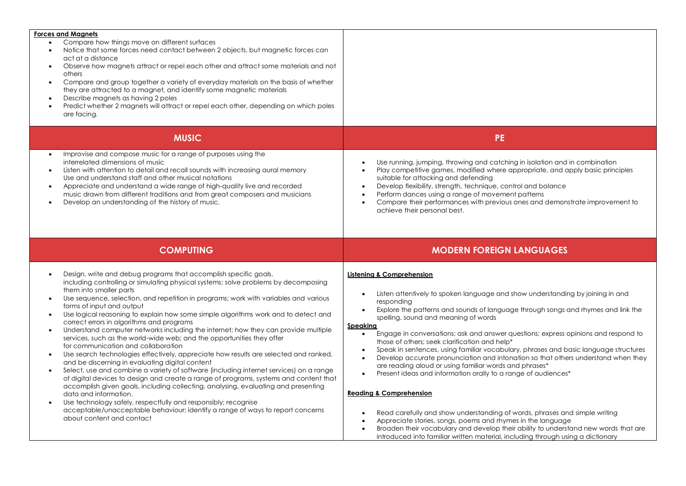| Compare how things move on different surfaces<br>Notice that some forces need contact between 2 objects, but magnetic forces can<br>$\bullet$<br>act at a distance<br>Observe how magnets attract or repel each other and attract some materials and not<br>others<br>Compare and group together a variety of everyday materials on the basis of whether<br>they are attracted to a magnet, and identify some magnetic materials<br>Describe magnets as having 2 poles<br>Predict whether 2 magnets will attract or repel each other, depending on which poles<br>$\bullet$<br>are facing. |                                                                                                                                                                                                                                                                                                                                                                                                                                                          |
|--------------------------------------------------------------------------------------------------------------------------------------------------------------------------------------------------------------------------------------------------------------------------------------------------------------------------------------------------------------------------------------------------------------------------------------------------------------------------------------------------------------------------------------------------------------------------------------------|----------------------------------------------------------------------------------------------------------------------------------------------------------------------------------------------------------------------------------------------------------------------------------------------------------------------------------------------------------------------------------------------------------------------------------------------------------|
| <b>MUSIC</b>                                                                                                                                                                                                                                                                                                                                                                                                                                                                                                                                                                               | PE.                                                                                                                                                                                                                                                                                                                                                                                                                                                      |
| Improvise and compose music for a range of purposes using the<br>$\bullet$<br>interrelated dimensions of music<br>Listen with attention to detail and recall sounds with increasing aural memory<br>$\bullet$<br>Use and understand staff and other musical notations<br>Appreciate and understand a wide range of high-quality live and recorded<br>music drawn from different traditions and from great composers and musicians<br>Develop an understanding of the history of music.                                                                                                     | Use running, jumping, throwing and catching in isolation and in combination<br>Play competitive games, modified where appropriate, and apply basic principles<br>suitable for attacking and defending<br>Develop flexibility, strength, technique, control and balance<br>$\bullet$<br>Perform dances using a range of movement patterns<br>Compare their performances with previous ones and demonstrate improvement to<br>achieve their personal best. |
| <b>COMPUTING</b>                                                                                                                                                                                                                                                                                                                                                                                                                                                                                                                                                                           | <b>MODERN FOREIGN LANGUAGES</b>                                                                                                                                                                                                                                                                                                                                                                                                                          |
| Design, write and debug programs that accomplish specific goals,                                                                                                                                                                                                                                                                                                                                                                                                                                                                                                                           |                                                                                                                                                                                                                                                                                                                                                                                                                                                          |